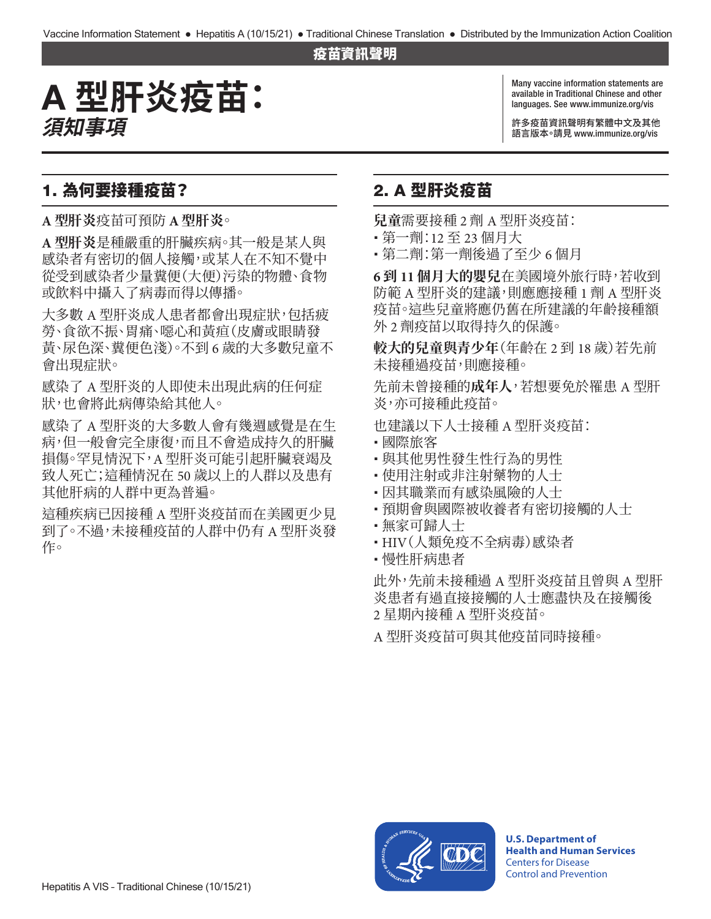#### 疫苗資訊聲明

# A **型肝炎疫苗: 須知事項**

Many vaccine information statements are available in Traditional Chinese and other languages. See [www.immunize.org/vis](http://www.immunize.org/vis)

許多疫苗資訊聲明有繁體中文及其他 語言版本。請見 [www.immunize.org/vis](http://www.immunize.org/vis)

#### 1. 為何要接種疫苗?

**A 型肝炎**疫苗可預防 **A 型肝炎**。

**A 型肝炎**是種嚴重的肝臟疾病。其一般是某人與 感染者有密切的個人接觸,或某人在不知不覺中 從受到感染者少量糞便(大便)污染的物體、食物 或飲料中攝入了病毒而得以傳播。

大多數 A 型肝炎成人患者都會出現症狀,包括疲 勞、食欲不振、胃痛、噁心和黃疸(皮膚或眼睛發 黃、尿色深、糞便色淺)。不到 6 歲的大多數兒童不 會出現症狀。

感染了 A 型肝炎的人即使未出現此病的任何症 狀,也會將此病傳染給其他人。

感染了 A 型肝炎的大多數人會有幾週感覺是在生 病,但一般會完全康復,而且不會造成持久的肝臟 損傷。罕見情況下,A 型肝炎可能引起肝臟衰竭及 致人死亡;這種情況在 50 歲以上的人群以及患有 其他肝病的人群中更為普遍。

這種疾病已因接種 A 型肝炎疫苗而在美國更少見 到了。不過,未接種疫苗的人群中仍有 A 型肝炎發 作。

### 2. A 型肝炎疫苗

**兒童**需要接種 2 劑 A 型肝炎疫苗:

- � 第一劑:12 至 23 個月大
- � 第二劑:第一劑後過了至少 6 個月

**6 到 11 個月大的嬰兒**在美國境外旅行時,若收到 防範 A 型肝炎的建議,則應應接種 1 劑 A 型肝炎 疫苗。這些兒童將應仍舊在所建議的年齡接種額 外 2 劑疫苗以取得持久的保護。

**較大的兒童與青少年**(年齡在 2 到 18 歲)若先前 未接種過疫苗,則應接種。

先前未曾接種的**成年人**,若想要免於罹患 A 型肝 炎,亦可接種此疫苗。

也建議以下人士接種 A 型肝炎疫苗:

- � 國際旅客
- 與其他男性發生性行為的男性
- 使用注射或非注射藥物的人士
- 因其職業而有感染風險的人士
- 預期會與國際被收養者有密切接觸的人士
- 無家可歸人士
- � HIV(人類免疫不全病毒)感染者
- 慢性肝病患者

此外,先前未接種過 A 型肝炎疫苗且曾與 A 型肝 炎患者有過直接接觸的人士應盡快及在接觸後 2 星期內接種 A 型肝炎疫苗。

A 型肝炎疫苗可與其他疫苗同時接種。



**U.S. Department of Health and Human Services**  Centers for Disease Control and Prevention